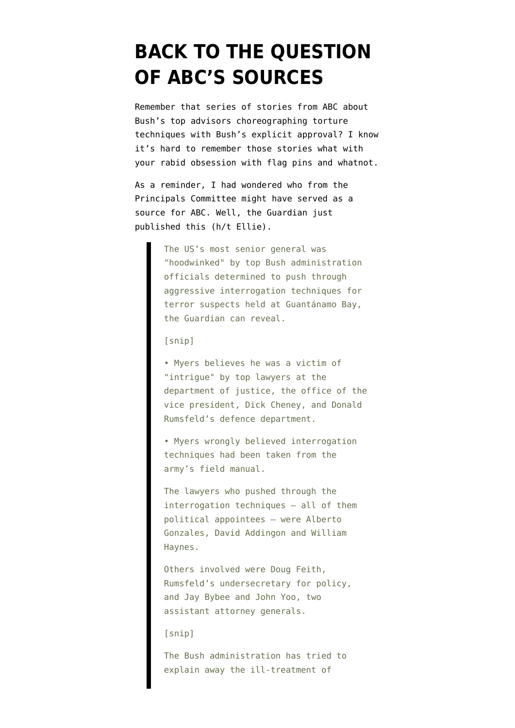## **[BACK TO THE QUESTION](https://www.emptywheel.net/2008/04/18/back-to-the-question-of-abcs-sources/) [OF ABC'S SOURCES](https://www.emptywheel.net/2008/04/18/back-to-the-question-of-abcs-sources/)**

Remember that [series of stories from ABC](http://emptywheel.firedoglake.com/2008/04/12/bush-oks-torture-media-yawns/) about Bush's top advisors choreographing torture techniques with Bush's explicit approval? I know it's hard to remember those stories what with your rabid obsession with flag pins and whatnot.

As a reminder, I had [wondered](http://emptywheel.firedoglake.com/2008/04/10/who-we-included-in-the-torture-briefings/) who from the Principals Committee might have served as a source for ABC. Well, the Guardian just [published this](http://www.guardian.co.uk/world/2008/apr/18/usa.guantanamo) (h/t Ellie).

> The US's most senior general was "hoodwinked" by top Bush administration officials determined to push through aggressive interrogation techniques for terror suspects held at Guantánamo Bay, the Guardian can reveal.

[snip]

• Myers believes he was a victim of "intrigue" by top lawyers at the department of justice, the office of the vice president, Dick Cheney, and Donald Rumsfeld's defence department.

• Myers wrongly believed interrogation techniques had been taken from the army's field manual.

The lawyers who pushed through the interrogation techniques – all of them political appointees – were Alberto Gonzales, David Addingon and William Haynes.

Others involved were Doug Feith, Rumsfeld's undersecretary for policy, and Jay Bybee and John Yoo, two assistant attorney generals.

## [snip]

The Bush administration has tried to explain away the ill-treatment of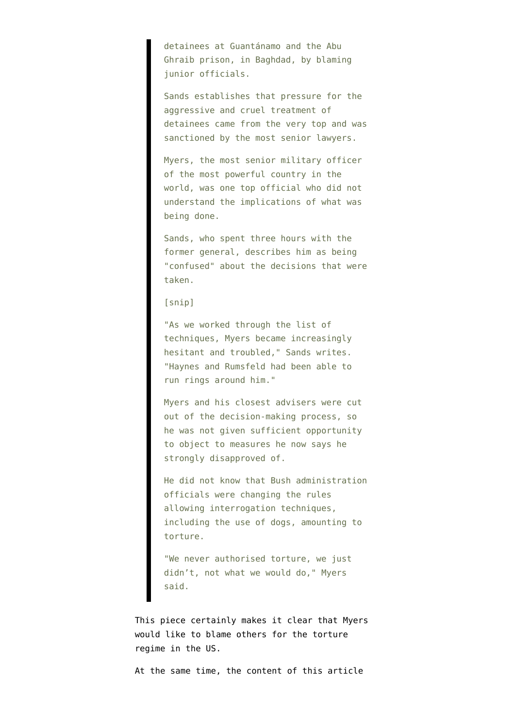detainees at Guantánamo and the Abu Ghraib prison, in Baghdad, by blaming junior officials.

Sands establishes that pressure for the aggressive and cruel treatment of detainees came from the very top and was sanctioned by the most senior lawyers.

Myers, the most senior military officer of the most powerful country in the world, was one top official who did not understand the implications of what was being done.

Sands, who spent three hours with the former general, describes him as being "confused" about the decisions that were taken.

[snip]

"As we worked through the list of techniques, Myers became increasingly hesitant and troubled," Sands writes. "Haynes and Rumsfeld had been able to run rings around him."

Myers and his closest advisers were cut out of the decision-making process, so he was not given sufficient opportunity to object to measures he now says he strongly disapproved of.

He did not know that Bush administration officials were changing the rules allowing interrogation techniques, including the use of dogs, amounting to torture.

"We never authorised torture, we just didn't, not what we would do," Myers said.

This piece certainly makes it clear that Myers would like to blame others for the torture regime in the US.

At the same time, the content of this article